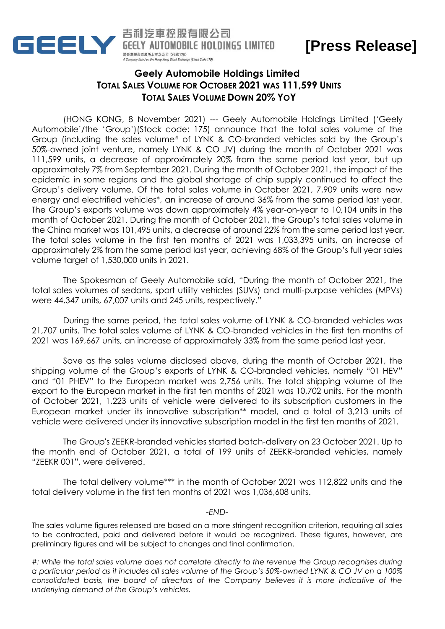

**[Press Release]**

## **Geely Automobile Holdings Limited TOTAL SALES VOLUME FOR OCTOBER 2021 WAS 111,599 UNITS TOTAL SALES VOLUME DOWN 20% YOY**

(HONG KONG, 8 November 2021) --- Geely Automobile Holdings Limited ('Geely Automobile'/the 'Group')(Stock code: 175) announce that the total sales volume of the Group (including the sales volume# of LYNK & CO-branded vehicles sold by the Group's 50%-owned joint venture, namely LYNK & CO JV) during the month of October 2021 was 111,599 units, a decrease of approximately 20% from the same period last year, but up approximately 7% from September 2021. During the month of October 2021, the impact of the epidemic in some regions and the global shortage of chip supply continued to affect the Group's delivery volume. Of the total sales volume in October 2021, 7,909 units were new energy and electrified vehicles\*, an increase of around 36% from the same period last year. The Group's exports volume was down approximately 4% year-on-year to 10,104 units in the month of October 2021. During the month of October 2021, the Group's total sales volume in the China market was 101,495 units, a decrease of around 22% from the same period last year. The total sales volume in the first ten months of 2021 was 1,033,395 units, an increase of approximately 2% from the same period last year, achieving 68% of the Group's full year sales volume target of 1,530,000 units in 2021.

The Spokesman of Geely Automobile said, "During the month of October 2021, the total sales volumes of sedans, sport utility vehicles (SUVs) and multi-purpose vehicles (MPVs) were 44,347 units, 67,007 units and 245 units, respectively."

During the same period, the total sales volume of LYNK & CO-branded vehicles was 21,707 units. The total sales volume of LYNK & CO-branded vehicles in the first ten months of 2021 was 169,667 units, an increase of approximately 33% from the same period last year.

Save as the sales volume disclosed above, during the month of October 2021, the shipping volume of the Group's exports of LYNK & CO-branded vehicles, namely "01 HEV" and "01 PHEV" to the European market was 2,756 units. The total shipping volume of the export to the European market in the first ten months of 2021 was 10,702 units. For the month of October 2021, 1,223 units of vehicle were delivered to its subscription customers in the European market under its innovative subscription\*\* model, and a total of 3,213 units of vehicle were delivered under its innovative subscription model in the first ten months of 2021.

The Group's ZEEKR-branded vehicles started batch-delivery on 23 October 2021. Up to the month end of October 2021, a total of 199 units of ZEEKR-branded vehicles, namely "ZEEKR 001", were delivered.

The total delivery volume\*\*\* in the month of October 2021 was 112,822 units and the total delivery volume in the first ten months of 2021 was 1,036,608 units.

## *-END-*

The sales volume figures released are based on a more stringent recognition criterion, requiring all sales to be contracted, paid and delivered before it would be recognized. These figures, however, are preliminary figures and will be subject to changes and final confirmation.

*#: While the total sales volume does not correlate directly to the revenue the Group recognises during a particular period as it includes all sales volume of the Group's 50%-owned LYNK & CO JV on a 100% consolidated basis, the board of directors of the Company believes it is more indicative of the underlying demand of the Group's vehicles.*